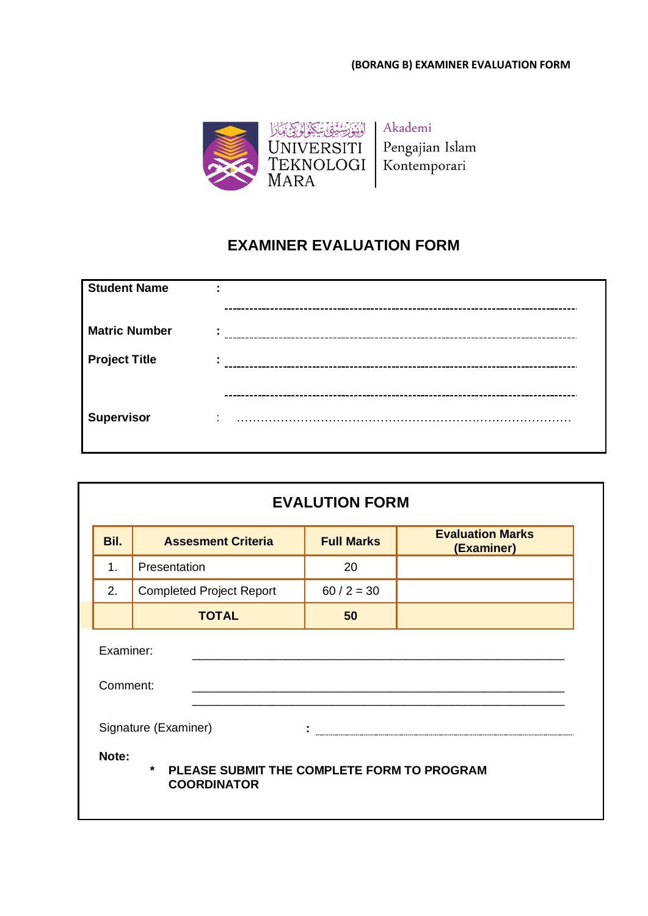

## **EXAMINER EVALUATION FORM**

| <b>Student Name</b>  | ٠<br>$\blacksquare$              |
|----------------------|----------------------------------|
|                      |                                  |
| <b>Matric Number</b> | ٠.                               |
| <b>Project Title</b> | ٠                                |
|                      |                                  |
| <b>Supervisor</b>    | $\blacksquare$<br>$\blacksquare$ |

|                       | <b>EVALUTION FORM</b>                                                       |                   |                                       |  |  |  |  |
|-----------------------|-----------------------------------------------------------------------------|-------------------|---------------------------------------|--|--|--|--|
| Bil.                  | <b>Assesment Criteria</b>                                                   | <b>Full Marks</b> | <b>Evaluation Marks</b><br>(Examiner) |  |  |  |  |
| 1.                    | Presentation                                                                | 20                |                                       |  |  |  |  |
| 2.                    | <b>Completed Project Report</b>                                             | $60 / 2 = 30$     |                                       |  |  |  |  |
|                       | <b>TOTAL</b>                                                                | 50                |                                       |  |  |  |  |
| Examiner:<br>Comment: | Signature (Examiner)                                                        |                   |                                       |  |  |  |  |
| Note:                 | $\star$<br>PLEASE SUBMIT THE COMPLETE FORM TO PROGRAM<br><b>COORDINATOR</b> |                   |                                       |  |  |  |  |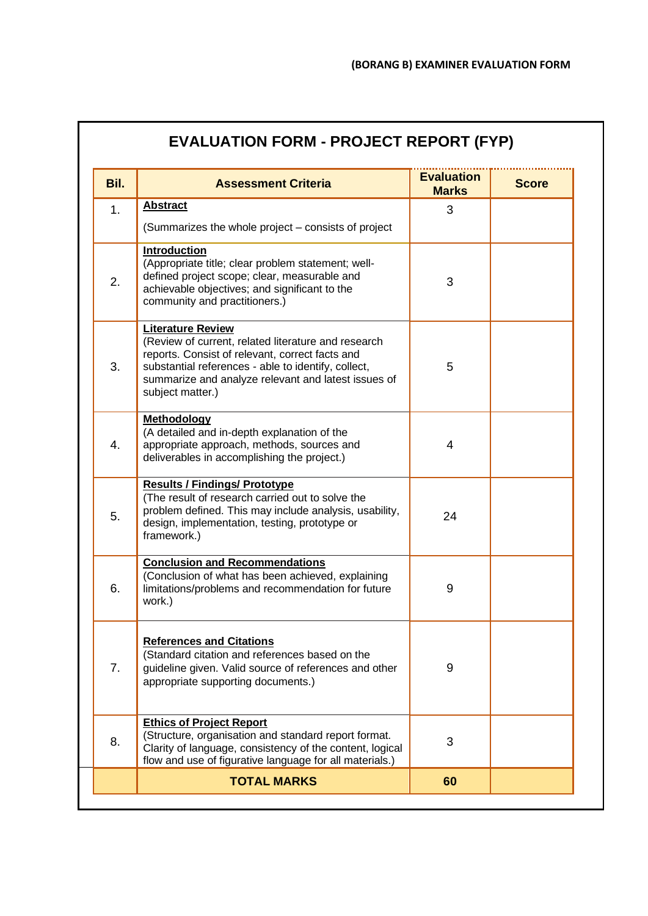| Bil. | <b>Assessment Criteria</b>                                                                                                                                                                                                                                           | <b>Evaluation</b><br><b>Marks</b> | <b>Score</b> |
|------|----------------------------------------------------------------------------------------------------------------------------------------------------------------------------------------------------------------------------------------------------------------------|-----------------------------------|--------------|
| 1.   | <b>Abstract</b>                                                                                                                                                                                                                                                      | 3                                 |              |
| 2.   | (Summarizes the whole project – consists of project<br><b>Introduction</b><br>(Appropriate title; clear problem statement; well-<br>defined project scope; clear, measurable and<br>achievable objectives; and significant to the<br>community and practitioners.)   | 3                                 |              |
| 3.   | <b>Literature Review</b><br>(Review of current, related literature and research<br>reports. Consist of relevant, correct facts and<br>substantial references - able to identify, collect,<br>summarize and analyze relevant and latest issues of<br>subject matter.) | 5                                 |              |
| 4.   | <b>Methodology</b><br>(A detailed and in-depth explanation of the<br>appropriate approach, methods, sources and<br>deliverables in accomplishing the project.)                                                                                                       | 4                                 |              |
| 5.   | <b>Results / Findings/ Prototype</b><br>(The result of research carried out to solve the<br>problem defined. This may include analysis, usability,<br>design, implementation, testing, prototype or<br>framework.)                                                   | 24                                |              |
| 6.   | <b>Conclusion and Recommendations</b><br>(Conclusion of what has been achieved, explaining<br>limitations/problems and recommendation for future<br>work.)                                                                                                           | 9                                 |              |
| 7.   | <b>References and Citations</b><br>(Standard citation and references based on the<br>guideline given. Valid source of references and other<br>appropriate supporting documents.)                                                                                     | 9                                 |              |
| 8.   | <b>Ethics of Project Report</b><br>(Structure, organisation and standard report format.<br>Clarity of language, consistency of the content, logical<br>flow and use of figurative language for all materials.)                                                       | 3                                 |              |
|      | <b>TOTAL MARKS</b>                                                                                                                                                                                                                                                   | 60                                |              |